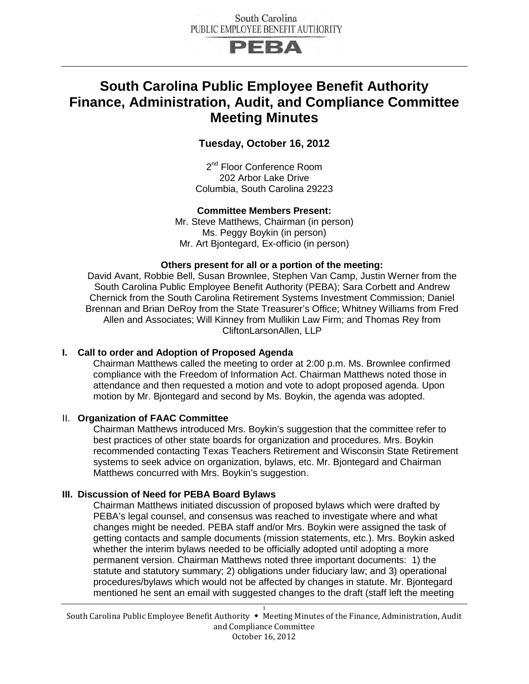

# **South Carolina Public Employee Benefit Authority Finance, Administration, Audit, and Compliance Committee Meeting Minutes**

**Tuesday, October 16, 2012**

2<sup>nd</sup> Floor Conference Room 202 Arbor Lake Drive Columbia, South Carolina 29223

# **Committee Members Present:**

Mr. Steve Matthews, Chairman (in person) Ms. Peggy Boykin (in person) Mr. Art Bjontegard, Ex-officio (in person)

#### **Others present for all or a portion of the meeting:**

David Avant, Robbie Bell, Susan Brownlee, Stephen Van Camp, Justin Werner from the South Carolina Public Employee Benefit Authority (PEBA); Sara Corbett and Andrew Chernick from the South Carolina Retirement Systems Investment Commission; Daniel Brennan and Brian DeRoy from the State Treasurer's Office; Whitney Williams from Fred Allen and Associates; Will Kinney from Mullikin Law Firm; and Thomas Rey from CliftonLarsonAllen, LLP

## **I. Call to order and Adoption of Proposed Agenda**

Chairman Matthews called the meeting to order at 2:00 p.m. Ms. Brownlee confirmed compliance with the Freedom of Information Act. Chairman Matthews noted those in attendance and then requested a motion and vote to adopt proposed agenda. Upon motion by Mr. Bjontegard and second by Ms. Boykin, the agenda was adopted.

## II. **Organization of FAAC Committee**

Chairman Matthews introduced Mrs. Boykin's suggestion that the committee refer to best practices of other state boards for organization and procedures. Mrs. Boykin recommended contacting Texas Teachers Retirement and Wisconsin State Retirement systems to seek advice on organization, bylaws, etc. Mr. Bjontegard and Chairman Matthews concurred with Mrs. Boykin's suggestion.

## **III. Discussion of Need for PEBA Board Bylaws**

Chairman Matthews initiated discussion of proposed bylaws which were drafted by PEBA's legal counsel, and consensus was reached to investigate where and what changes might be needed. PEBA staff and/or Mrs. Boykin were assigned the task of getting contacts and sample documents (mission statements, etc.). Mrs. Boykin asked whether the interim bylaws needed to be officially adopted until adopting a more permanent version. Chairman Matthews noted three important documents: 1) the statute and statutory summary; 2) obligations under fiduciary law; and 3) operational procedures/bylaws which would not be affected by changes in statute. Mr. Bjontegard mentioned he sent an email with suggested changes to the draft (staff left the meeting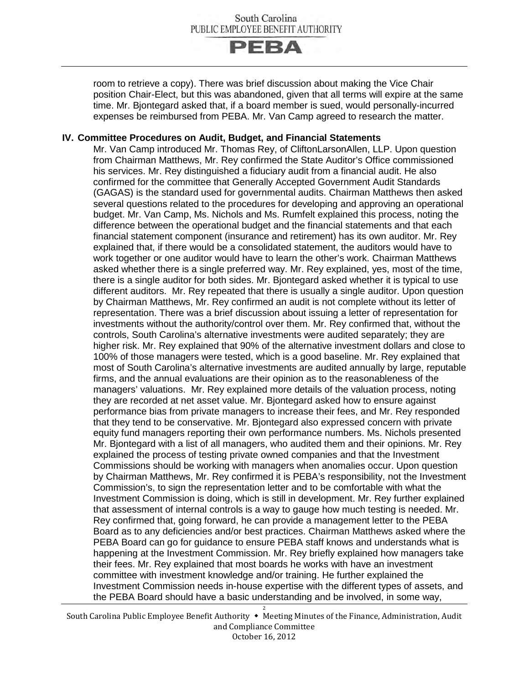

room to retrieve a copy). There was brief discussion about making the Vice Chair position Chair-Elect, but this was abandoned, given that all terms will expire at the same time. Mr. Bjontegard asked that, if a board member is sued, would personally-incurred expenses be reimbursed from PEBA. Mr. Van Camp agreed to research the matter.

#### **IV. Committee Procedures on Audit, Budget, and Financial Statements**

Mr. Van Camp introduced Mr. Thomas Rey, of CliftonLarsonAllen, LLP. Upon question from Chairman Matthews, Mr. Rey confirmed the State Auditor's Office commissioned his services. Mr. Rey distinguished a fiduciary audit from a financial audit. He also confirmed for the committee that Generally Accepted Government Audit Standards (GAGAS) is the standard used for governmental audits. Chairman Matthews then asked several questions related to the procedures for developing and approving an operational budget. Mr. Van Camp, Ms. Nichols and Ms. Rumfelt explained this process, noting the difference between the operational budget and the financial statements and that each financial statement component (insurance and retirement) has its own auditor. Mr. Rey explained that, if there would be a consolidated statement, the auditors would have to work together or one auditor would have to learn the other's work. Chairman Matthews asked whether there is a single preferred way. Mr. Rey explained, yes, most of the time, there is a single auditor for both sides. Mr. Bjontegard asked whether it is typical to use different auditors. Mr. Rey repeated that there is usually a single auditor. Upon question by Chairman Matthews, Mr. Rey confirmed an audit is not complete without its letter of representation. There was a brief discussion about issuing a letter of representation for investments without the authority/control over them. Mr. Rey confirmed that, without the controls, South Carolina's alternative investments were audited separately; they are higher risk. Mr. Rey explained that 90% of the alternative investment dollars and close to 100% of those managers were tested, which is a good baseline. Mr. Rey explained that most of South Carolina's alternative investments are audited annually by large, reputable firms, and the annual evaluations are their opinion as to the reasonableness of the managers' valuations. Mr. Rey explained more details of the valuation process, noting they are recorded at net asset value. Mr. Bjontegard asked how to ensure against performance bias from private managers to increase their fees, and Mr. Rey responded that they tend to be conservative. Mr. Bjontegard also expressed concern with private equity fund managers reporting their own performance numbers. Ms. Nichols presented Mr. Bjontegard with a list of all managers, who audited them and their opinions. Mr. Rey explained the process of testing private owned companies and that the Investment Commissions should be working with managers when anomalies occur. Upon question by Chairman Matthews, Mr. Rey confirmed it is PEBA's responsibility, not the Investment Commission's, to sign the representation letter and to be comfortable with what the Investment Commission is doing, which is still in development. Mr. Rey further explained that assessment of internal controls is a way to gauge how much testing is needed. Mr. Rey confirmed that, going forward, he can provide a management letter to the PEBA Board as to any deficiencies and/or best practices. Chairman Matthews asked where the PEBA Board can go for guidance to ensure PEBA staff knows and understands what is happening at the Investment Commission. Mr. Rey briefly explained how managers take their fees. Mr. Rey explained that most boards he works with have an investment committee with investment knowledge and/or training. He further explained the Investment Commission needs in-house expertise with the different types of assets, and the PEBA Board should have a basic understanding and be involved, in some way,

South Carolina Public Employee Benefit Authority  $\stackrel{\text{2}}{\bullet}$  Meeting Minutes of the Finance, Administration, Audit and Compliance Committee October 16, 2012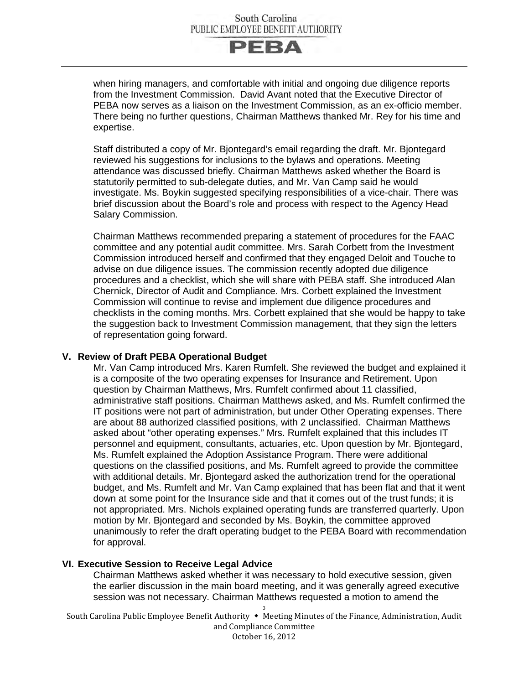

when hiring managers, and comfortable with initial and ongoing due diligence reports from the Investment Commission. David Avant noted that the Executive Director of PEBA now serves as a liaison on the Investment Commission, as an ex-officio member. There being no further questions, Chairman Matthews thanked Mr. Rey for his time and expertise.

Staff distributed a copy of Mr. Bjontegard's email regarding the draft. Mr. Bjontegard reviewed his suggestions for inclusions to the bylaws and operations. Meeting attendance was discussed briefly. Chairman Matthews asked whether the Board is statutorily permitted to sub-delegate duties, and Mr. Van Camp said he would investigate. Ms. Boykin suggested specifying responsibilities of a vice-chair. There was brief discussion about the Board's role and process with respect to the Agency Head Salary Commission.

Chairman Matthews recommended preparing a statement of procedures for the FAAC committee and any potential audit committee. Mrs. Sarah Corbett from the Investment Commission introduced herself and confirmed that they engaged Deloit and Touche to advise on due diligence issues. The commission recently adopted due diligence procedures and a checklist, which she will share with PEBA staff. She introduced Alan Chernick, Director of Audit and Compliance. Mrs. Corbett explained the Investment Commission will continue to revise and implement due diligence procedures and checklists in the coming months. Mrs. Corbett explained that she would be happy to take the suggestion back to Investment Commission management, that they sign the letters of representation going forward.

#### **V. Review of Draft PEBA Operational Budget**

Mr. Van Camp introduced Mrs. Karen Rumfelt. She reviewed the budget and explained it is a composite of the two operating expenses for Insurance and Retirement. Upon question by Chairman Matthews, Mrs. Rumfelt confirmed about 11 classified, administrative staff positions. Chairman Matthews asked, and Ms. Rumfelt confirmed the IT positions were not part of administration, but under Other Operating expenses. There are about 88 authorized classified positions, with 2 unclassified. Chairman Matthews asked about "other operating expenses." Mrs. Rumfelt explained that this includes IT personnel and equipment, consultants, actuaries, etc. Upon question by Mr. Bjontegard, Ms. Rumfelt explained the Adoption Assistance Program. There were additional questions on the classified positions, and Ms. Rumfelt agreed to provide the committee with additional details. Mr. Bjontegard asked the authorization trend for the operational budget, and Ms. Rumfelt and Mr. Van Camp explained that has been flat and that it went down at some point for the Insurance side and that it comes out of the trust funds; it is not appropriated. Mrs. Nichols explained operating funds are transferred quarterly. Upon motion by Mr. Bjontegard and seconded by Ms. Boykin, the committee approved unanimously to refer the draft operating budget to the PEBA Board with recommendation for approval.

#### **VI. Executive Session to Receive Legal Advice**

Chairman Matthews asked whether it was necessary to hold executive session, given the earlier discussion in the main board meeting, and it was generally agreed executive session was not necessary. Chairman Matthews requested a motion to amend the

South Carolina Public Employee Benefit Authority • Meeting Minutes of the Finance, Administration, Audit and Compliance Committee October 16, 2012